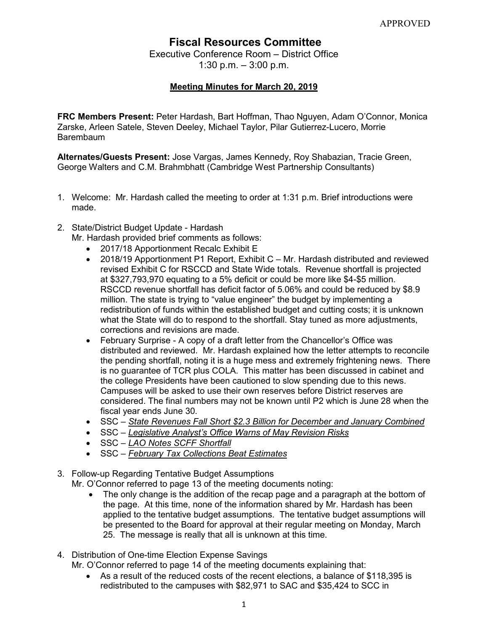## **Fiscal Resources Committee**

Executive Conference Room – District Office 1:30 p.m.  $-3:00$  p.m.

## **Meeting Minutes for March 20, 2019**

**FRC Members Present:** Peter Hardash, Bart Hoffman, Thao Nguyen, Adam O'Connor, Monica Zarske, Arleen Satele, Steven Deeley, Michael Taylor, Pilar Gutierrez-Lucero, Morrie **Barembaum** 

**Alternates/Guests Present:** Jose Vargas, James Kennedy, Roy Shabazian, Tracie Green, George Walters and C.M. Brahmbhatt (Cambridge West Partnership Consultants)

- 1. Welcome: Mr. Hardash called the meeting to order at 1:31 p.m. Brief introductions were made.
- 2. State/District Budget Update Hardash

Mr. Hardash provided brief comments as follows:

- 2017/18 Apportionment Recalc Exhibit E
- 2018/19 Apportionment P1 Report, Exhibit C Mr. Hardash distributed and reviewed revised Exhibit C for RSCCD and State Wide totals. Revenue shortfall is projected at \$327,793,970 equating to a 5% deficit or could be more like \$4-\$5 million. RSCCD revenue shortfall has deficit factor of 5.06% and could be reduced by \$8.9 million. The state is trying to "value engineer" the budget by implementing a redistribution of funds within the established budget and cutting costs; it is unknown what the State will do to respond to the shortfall. Stay tuned as more adjustments, corrections and revisions are made.
- February Surprise A copy of a draft letter from the Chancellor's Office was distributed and reviewed. Mr. Hardash explained how the letter attempts to reconcile the pending shortfall, noting it is a huge mess and extremely frightening news. There is no guarantee of TCR plus COLA. This matter has been discussed in cabinet and the college Presidents have been cautioned to slow spending due to this news. Campuses will be asked to use their own reserves before District reserves are considered. The final numbers may not be known until P2 which is June 28 when the fiscal year ends June 30.
- SSC *State Revenues Fall Short \$2.3 Billion for December and January Combined*
- SSC *Legislative Analyst's Office Warns of May Revision Risks*
- SSC *LAO Notes SCFF Shortfall*
- SSC *February Tax Collections Beat Estimates*
- 3. Follow-up Regarding Tentative Budget Assumptions
	- Mr. O'Connor referred to page 13 of the meeting documents noting:
		- The only change is the addition of the recap page and a paragraph at the bottom of the page. At this time, none of the information shared by Mr. Hardash has been applied to the tentative budget assumptions. The tentative budget assumptions will be presented to the Board for approval at their regular meeting on Monday, March 25. The message is really that all is unknown at this time.
- 4. Distribution of One-time Election Expense Savings

Mr. O'Connor referred to page 14 of the meeting documents explaining that:

• As a result of the reduced costs of the recent elections, a balance of \$118,395 is redistributed to the campuses with \$82,971 to SAC and \$35,424 to SCC in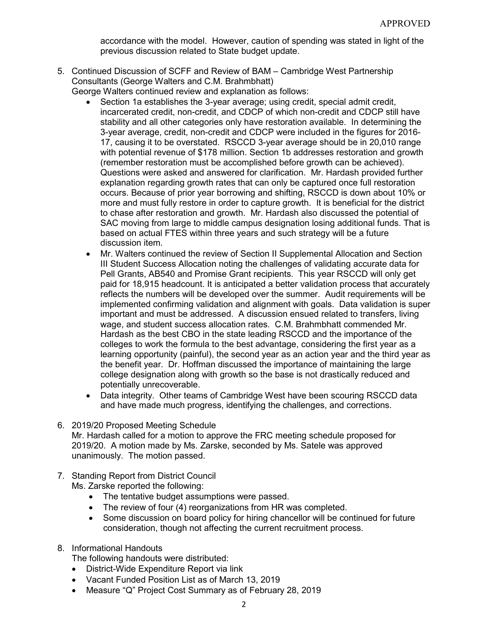accordance with the model. However, caution of spending was stated in light of the previous discussion related to State budget update.

5. Continued Discussion of SCFF and Review of BAM – Cambridge West Partnership Consultants (George Walters and C.M. Brahmbhatt)

George Walters continued review and explanation as follows:

- Section 1a establishes the 3-year average; using credit, special admit credit, incarcerated credit, non-credit, and CDCP of which non-credit and CDCP still have stability and all other categories only have restoration available. In determining the 3-year average, credit, non-credit and CDCP were included in the figures for 2016- 17, causing it to be overstated. RSCCD 3-year average should be in 20,010 range with potential revenue of \$178 million. Section 1b addresses restoration and growth (remember restoration must be accomplished before growth can be achieved). Questions were asked and answered for clarification. Mr. Hardash provided further explanation regarding growth rates that can only be captured once full restoration occurs. Because of prior year borrowing and shifting, RSCCD is down about 10% or more and must fully restore in order to capture growth. It is beneficial for the district to chase after restoration and growth. Mr. Hardash also discussed the potential of SAC moving from large to middle campus designation losing additional funds. That is based on actual FTES within three years and such strategy will be a future discussion item.
- Mr. Walters continued the review of Section II Supplemental Allocation and Section III Student Success Allocation noting the challenges of validating accurate data for Pell Grants, AB540 and Promise Grant recipients. This year RSCCD will only get paid for 18,915 headcount. It is anticipated a better validation process that accurately reflects the numbers will be developed over the summer. Audit requirements will be implemented confirming validation and alignment with goals. Data validation is super important and must be addressed. A discussion ensued related to transfers, living wage, and student success allocation rates. C.M. Brahmbhatt commended Mr. Hardash as the best CBO in the state leading RSCCD and the importance of the colleges to work the formula to the best advantage, considering the first year as a learning opportunity (painful), the second year as an action year and the third year as the benefit year. Dr. Hoffman discussed the importance of maintaining the large college designation along with growth so the base is not drastically reduced and potentially unrecoverable.
- Data integrity. Other teams of Cambridge West have been scouring RSCCD data and have made much progress, identifying the challenges, and corrections.
- 6. 2019/20 Proposed Meeting Schedule Mr. Hardash called for a motion to approve the FRC meeting schedule proposed for 2019/20. A motion made by Ms. Zarske, seconded by Ms. Satele was approved unanimously. The motion passed.
- 7. Standing Report from District Council Ms. Zarske reported the following:
	- The tentative budget assumptions were passed.
	- The review of four (4) reorganizations from HR was completed.
	- Some discussion on board policy for hiring chancellor will be continued for future consideration, though not affecting the current recruitment process.
- 8. Informational Handouts

The following handouts were distributed:

- District-Wide Expenditure Report via link
- Vacant Funded Position List as of March 13, 2019
- Measure "Q" Project Cost Summary as of February 28, 2019